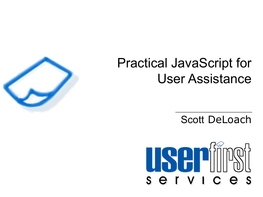### Practical JavaScript for User Assistance

Scott DeLoach



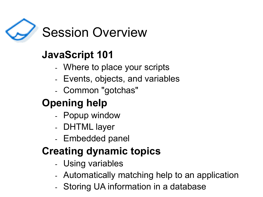

#### **JavaScript 101**

- Where to place your scripts
- Events, objects, and variables
- Common "gotchas"

### **Opening help**

- Popup window
- DHTML layer
- Embedded panel

#### **Creating dynamic topics**

- Using variables
- Automatically matching help to an application
- Storing UA information in a database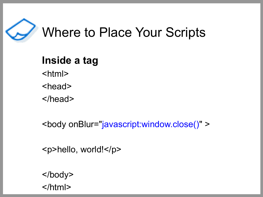

### Where to Place Your Scripts

**Inside a tag** <html> <head> </head>

<body onBlur="javascript:window.close()" >

<p>hello, world!</p>

</body> </html>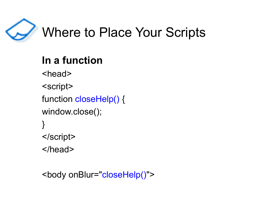

### Where to Place Your Scripts

### **In a function**

- <head>
- <script>
- function closeHelp() {
- window.close();
- } </script>
- </head>

```
<body onBlur="closeHelp()">
```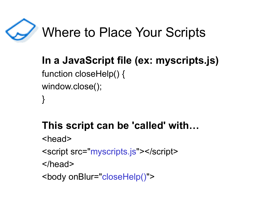

### Where to Place Your Scripts

#### **In a JavaScript file (ex: myscripts.js)** function closeHelp() { window.close(); }

### **This script can be 'called' with…**

- <head>
- <script src="myscripts.js"></script>
- </head>
- <body onBlur="closeHelp()">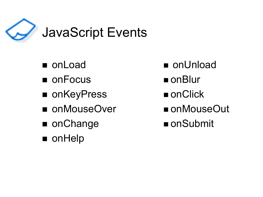

- 
- onFocus onBlur
- onKeyPress onClick
- onMouseOver onMouseOut
- onChange onSubmit
- onHelp
- onLoad onUnload
	-
	-
	-
	-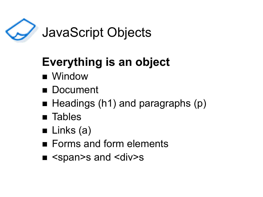

### JavaScript Objects

### **Everything is an object**

- Window
- Document
- Headings (h1) and paragraphs (p)
- Tables
- $\blacksquare$  Links (a)
- Forms and form elements
- <span>s and <div>s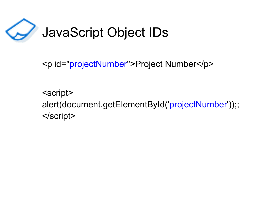

<p id="projectNumber">Project Number</p>

<script> alert(document.getElementById('projectNumber'));; </script>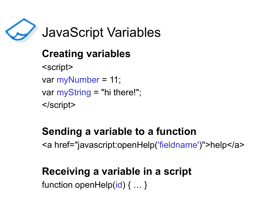

### JavaScript Variables

#### **Creating variables**

<script> var myNumber = 11; var myString = "hi there!"; </script>

#### **Sending a variable to a function**

<a href="javascript:openHelp('fieldname')">help</a>

#### **Receiving a variable in a script**

function openHelp(id) { ... }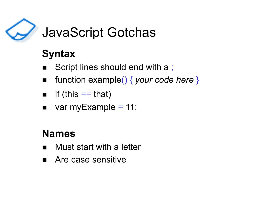

### JavaScript Gotchas

### **Syntax**

- Script lines should end with a ;
- function example() { *your code here* }
- $\blacksquare$  if (this  $==$  that)
- $\blacksquare$  var myExample = 11;

#### **Names**

- Must start with a letter
- Are case sensitive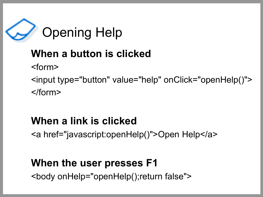

### **When a button is clicked**

<form>

<input type="button" value="help" onClick="openHelp()"> </form>

#### **When a link is clicked**

<a href="javascript:openHelp()">Open Help</a>

#### **When the user presses F1**

<body onHelp="openHelp();return false">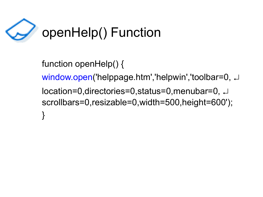

function openHelp() { window.open('helppage.htm','helpwin','toolbar=0, J location=0,directories=0,status=0,menubar=0, scrollbars=0,resizable=0,width=500,height=600'); }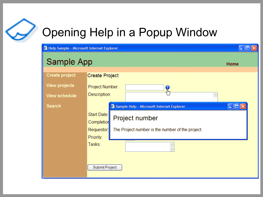## Opening Help in a Popup Window

|  |  | Help Sample - Microsoft Internet Explorer |  |
|--|--|-------------------------------------------|--|
|  |  |                                           |  |

#### Sample App

| Create project       | <b>Create Project</b>                                          |
|----------------------|----------------------------------------------------------------|
| <b>View projects</b> | Project Number:<br>0                                           |
| <b>View schedule</b> | $\Phi_{\rm b}$<br>Description:                                 |
| Search               | Sample Help - Microsoft Internet Explorer<br><u>raj d</u>      |
|                      | Start Date:                                                    |
|                      | Project number<br>Completion                                   |
|                      | The Project number is the number of the project.<br>Requestor: |
|                      | Priority:                                                      |
|                      | Tasks:                                                         |
|                      |                                                                |
|                      | Submit Project                                                 |

 $\Box$ ox

Home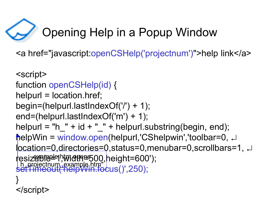# Opening Help in a Popup Window

<a href="javascript:openCSHelp('projectnum')">help link</a>

```
<script>
function openCSHelp(id) {
helpurl = location.href;
begin=(helpurl.lastIndexOf('/') + 1);
end=(helpurl.lastIndexOf('m') + 1);
helpurl = "h " + id + " " + helpurl.substring(begin, end);
helpWin = window.open(helpurl,'CShelpwin','toolbar=0, 
location=0,directories=0,status=0,menubar=0,scrollbars=1, 
resizaBle<sup>pt</sup>el,width=500,height=600');
setTimeout('helpWin.focus()',250);
}
</script>
     exampled htm a pares
 h_projectnum_example.htm"
```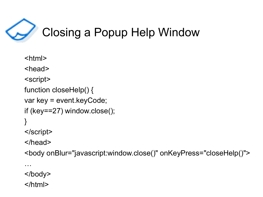

```
<html>
<head>
<script>
function closeHelp() {
var key = event.keyCode;
if (key==27) window.close();
}
</script>
</head>
<body onBlur="javascript:window.close()" onKeyPress="closeHelp()">
```
</body>

…

</html>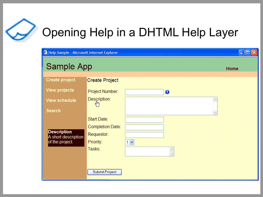

### Opening Help in a DHTML Help Layer

| Help Sample - Microsoft Internet Explorer |                              |          | a    |
|-------------------------------------------|------------------------------|----------|------|
| Sample App                                |                              |          | Home |
| Create project                            | <b>Create Project</b>        |          |      |
| <b>View projects</b>                      | Project Number:              | 0        |      |
| <b>View schedule</b>                      | Description:<br>$q_{\mu\nu}$ |          |      |
| <b>Search</b>                             |                              |          |      |
|                                           | Start Date:                  |          |      |
|                                           | Completion Date:             |          |      |
| <b>Description</b><br>A short description | Requestor:                   |          |      |
| of the project.                           | Priority:                    | $1 \vee$ |      |
|                                           | Tasks:                       |          |      |
|                                           |                              |          |      |
|                                           | Submit Project               |          |      |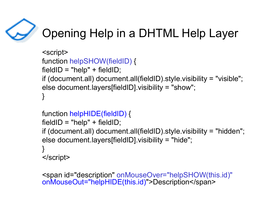### Opening Help in a DHTML Help Layer

```
<script>
function helpSHOW(fieldID) {
fieldID = "help" + fieldID;if (document.all) document.all(fieldID).style.visibility = "visible";
else document.layers[fieldID].visibility = "show";
}
```

```
function helpHIDE(fieldID) {
fieldID = "help" + fieldID;if (document.all) document.all(fieldID).style.visibility = "hidden";
else document.layers[fieldID].visibility = "hide";
}
</script>
```

```
<span id="description" onMouseOver="helpSHOW(this.id)"
onMouseOut="helpHIDE(this.id)">Description</span>
```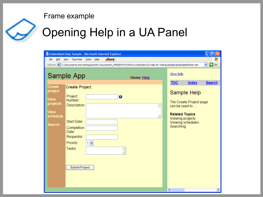#### Frame example



### Opening Help in a UA Panel

| File<br>Edit                                                                                                                                         |                                                       |       |   |                          | Embedded Help Sample - Microsoft Internet Explorer<br>н |                                           |        |  |  |  |  |
|------------------------------------------------------------------------------------------------------------------------------------------------------|-------------------------------------------------------|-------|---|--------------------------|---------------------------------------------------------|-------------------------------------------|--------|--|--|--|--|
|                                                                                                                                                      | $\partial$ Send<br>View<br>Favorites<br>Tools<br>Help |       |   |                          |                                                         |                                           | 4      |  |  |  |  |
| Address $\circ$ C:\Documents and Settings\me\My Documents\_PRESENTATIONS\ww03london\CS Help for Web\examples\embeddedframe.htm<br>$\rightarrow$<br>v |                                                       |       |   |                          |                                                         |                                           | Go     |  |  |  |  |
| Sample App<br>Home Help                                                                                                                              |                                                       |       |   | close help<br><b>TOC</b> | <b>Index</b>                                            | <b>Search</b>                             |        |  |  |  |  |
| Create<br>project                                                                                                                                    | <b>Create Project</b>                                 |       |   |                          |                                                         | Sample Help                               |        |  |  |  |  |
| <b>View</b><br>projects                                                                                                                              | Project<br>Number:<br>Description:                    |       | 0 | $\wedge$                 |                                                         | The Create Project page<br>can be used to |        |  |  |  |  |
| <b>View</b><br>schedule                                                                                                                              |                                                       |       |   | $\vee$                   | <b>Related Topics</b><br>Viewing projects               |                                           |        |  |  |  |  |
| <b>Search</b>                                                                                                                                        | Start Date:<br>Completion<br>Date:                    |       |   |                          | Searching                                               | Viewing schedules                         |        |  |  |  |  |
|                                                                                                                                                      | Requestor:<br>Priority:                               | $1 -$ |   |                          |                                                         |                                           |        |  |  |  |  |
|                                                                                                                                                      | Tasks:                                                |       |   |                          |                                                         |                                           |        |  |  |  |  |
|                                                                                                                                                      | Submit Project                                        |       |   |                          | $\overline{\mathbf{C}}$<br>IIII.                        |                                           | $\geq$ |  |  |  |  |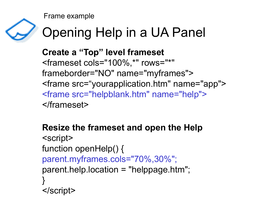Frame example



## Opening Help in a UA Panel

**Create a "Top" level frameset** <frameset cols="100%,\*" rows="\*" frameborder="NO" name="myframes"> <frame src="yourapplication.htm" name="app"> <frame src="helpblank.htm" name="help"> </frameset>

```
Resize the frameset and open the Help
<script>
function openHelp() {
parent.myframes.cols="70%,30%";
parent.help.location = "helppage.htm";
}
</script>
```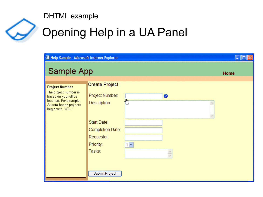#### DHTML example



## Opening Help in a UA Panel

| <sup>2</sup> Help Sample - Microsoft Internet Explorer                                                                                          |                                                                                                                                                                        |                       |  |
|-------------------------------------------------------------------------------------------------------------------------------------------------|------------------------------------------------------------------------------------------------------------------------------------------------------------------------|-----------------------|--|
| Sample App                                                                                                                                      |                                                                                                                                                                        | Home                  |  |
| <b>Project Number</b><br>The project number is<br>based on your office<br>location. For example,<br>Atlanta-based projects<br>begin with 'ATL.' | <b>Create Project</b><br>Project Number:<br>لسرة<br>Description:<br>Start Date:<br>Completion Date:<br>Requestor:<br>Priority:<br>$1 \vee$<br>Tasks:<br>Submit Project | $\boldsymbol{\Theta}$ |  |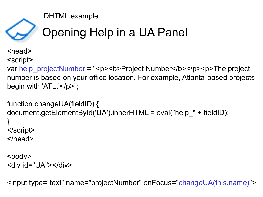DHTML example



### Opening Help in a UA Panel

<head>

<script>

var help\_projectNumber = "<p><b>Project Number</b></p><p>The project number is based on your office location. For example, Atlanta-based projects begin with 'ATL.'</p>";

```
function changeUA(fieldID) {
document.getElementById('UA').innerHTML = eval("help_" + fieldID);
}
</script>
</head>
```

```
<body>
<div id="UA"></div>
```
<input type="text" name="projectNumber" onFocus="changeUA(this.name)">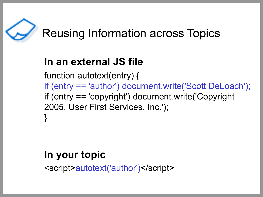

#### **In an external JS file**

function autotext(entry) { if (entry == 'author') document.write('Scott DeLoach'); if (entry == 'copyright') document.write('Copyright 2005, User First Services, Inc.'); }

#### **In your topic**

<script>autotext('author')</script>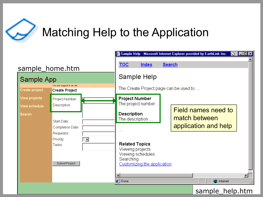

### Matching Help to the Application

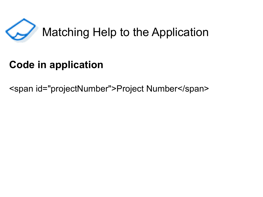

### Matching Help to the Application

### **Code in application**

<span id="projectNumber">Project Number</span>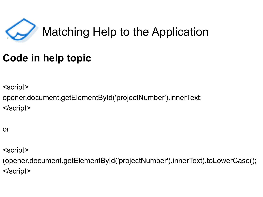

### **Matching Help to the Application**

#### **Code in help topic**

<script>

opener.document.getElementById('projectNumber').innerText; </script>

or

<script>

(opener.document.getElementById('projectNumber').innerText).toLowerCase(); </script>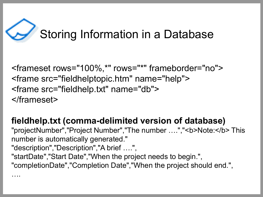# Storing Information in a Database

<frameset rows="100%,\*" rows="\*" frameborder="no"> <frame src="fieldhelptopic.htm" name="help"> <frame src="fieldhelp.txt" name="db"> </frameset>

**fieldhelp.txt (comma-delimited version of database)** "projectNumber","Project Number","The number ....","<b>Note:</b>This number is automatically generated." "description","Description","A brief ….", "startDate","Start Date","When the project needs to begin.", "completionDate","Completion Date","When the project should end.", ….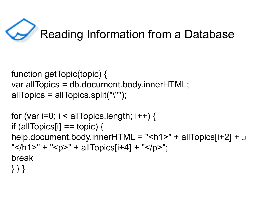# Reading Information from a Database

```
function getTopic(topic) {
var allTopics = db.document.body.innerHTML;
allTopics = allTopics.split("\"");
```

```
for (var i=0; i < allTopics.length; i++) {
if (allTopics[i] == topic) {
help.document.body.innerHTML = "<h1>" + allTopics[i+2] + \downarrow" </h1>" + "<p>" + allTopics[i+4] + "</p>";
break
} } }
```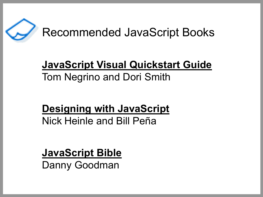

#### **JavaScript Visual Quickstart Guide** Tom Negrino and Dori Smith

#### **Designing with JavaScript** Nick Heinle and Bill Peña

**JavaScript Bible** Danny Goodman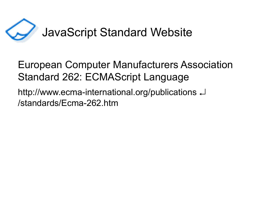

### JavaScript Standard Website

#### European Computer Manufacturers Association Standard 262: ECMAScript Language

http://www.ecma-international.org/publications /standards/Ecma-262.htm